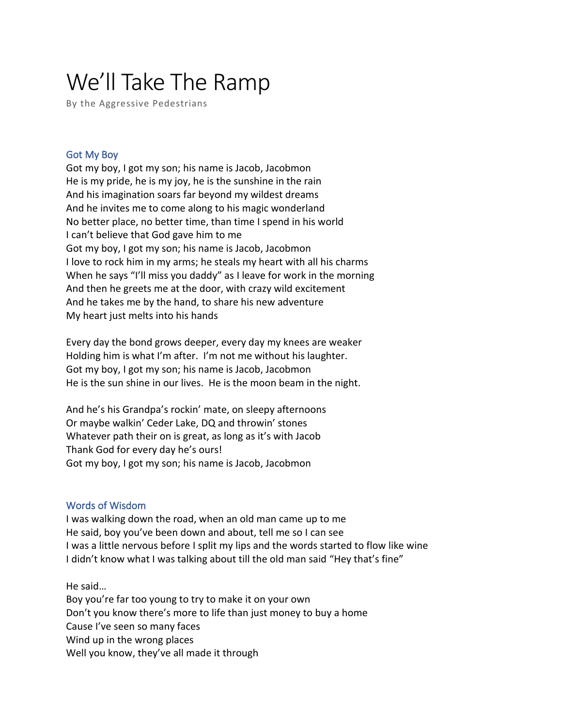# We'll Take The Ramp

By the Aggressive Pedestrians

## Got My Boy

Got my boy, I got my son; his name is Jacob, Jacobmon He is my pride, he is my joy, he is the sunshine in the rain And his imagination soars far beyond my wildest dreams And he invites me to come along to his magic wonderland No better place, no better time, than time I spend in his world I can't believe that God gave him to me Got my boy, I got my son; his name is Jacob, Jacobmon I love to rock him in my arms; he steals my heart with all his charms When he says "I'll miss you daddy" as I leave for work in the morning And then he greets me at the door, with crazy wild excitement And he takes me by the hand, to share his new adventure My heart just melts into his hands

Every day the bond grows deeper, every day my knees are weaker Holding him is what I'm after. I'm not me without his laughter. Got my boy, I got my son; his name is Jacob, Jacobmon He is the sun shine in our lives. He is the moon beam in the night.

And he's his Grandpa's rockin' mate, on sleepy afternoons Or maybe walkin' Ceder Lake, DQ and throwin' stones Whatever path their on is great, as long as it's with Jacob Thank God for every day he's ours! Got my boy, I got my son; his name is Jacob, Jacobmon

#### Words of Wisdom

I was walking down the road, when an old man came up to me He said, boy you've been down and about, tell me so I can see I was a little nervous before I split my lips and the words started to flow like wine I didn't know what I was talking about till the old man said "Hey that's fine"

He said…

Boy you're far too young to try to make it on your own Don't you know there's more to life than just money to buy a home Cause I've seen so many faces Wind up in the wrong places Well you know, they've all made it through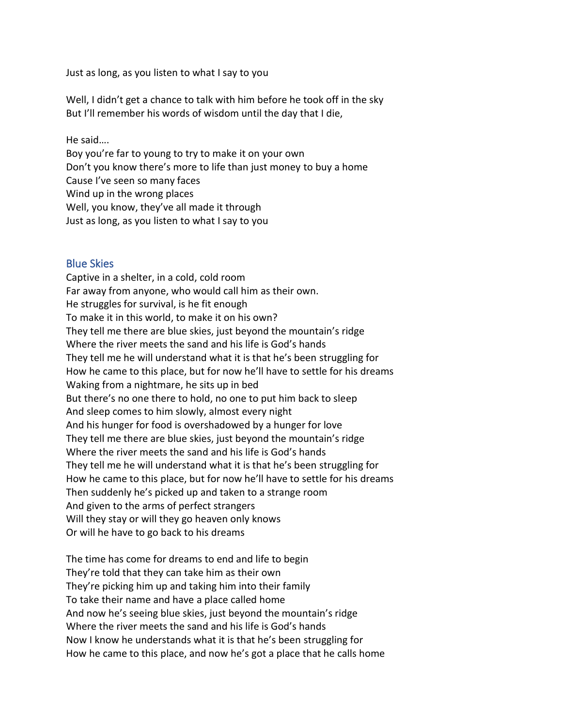Just as long, as you listen to what I say to you

Well, I didn't get a chance to talk with him before he took off in the sky But I'll remember his words of wisdom until the day that I die,

He said….

Boy you're far to young to try to make it on your own

Don't you know there's more to life than just money to buy a home

Cause I've seen so many faces

Wind up in the wrong places

Well, you know, they've all made it through

Just as long, as you listen to what I say to you

## Blue Skies

Captive in a shelter, in a cold, cold room Far away from anyone, who would call him as their own. He struggles for survival, is he fit enough To make it in this world, to make it on his own? They tell me there are blue skies, just beyond the mountain's ridge Where the river meets the sand and his life is God's hands They tell me he will understand what it is that he's been struggling for How he came to this place, but for now he'll have to settle for his dreams Waking from a nightmare, he sits up in bed But there's no one there to hold, no one to put him back to sleep And sleep comes to him slowly, almost every night And his hunger for food is overshadowed by a hunger for love They tell me there are blue skies, just beyond the mountain's ridge Where the river meets the sand and his life is God's hands They tell me he will understand what it is that he's been struggling for How he came to this place, but for now he'll have to settle for his dreams Then suddenly he's picked up and taken to a strange room And given to the arms of perfect strangers Will they stay or will they go heaven only knows Or will he have to go back to his dreams

The time has come for dreams to end and life to begin They're told that they can take him as their own They're picking him up and taking him into their family To take their name and have a place called home And now he's seeing blue skies, just beyond the mountain's ridge Where the river meets the sand and his life is God's hands Now I know he understands what it is that he's been struggling for How he came to this place, and now he's got a place that he calls home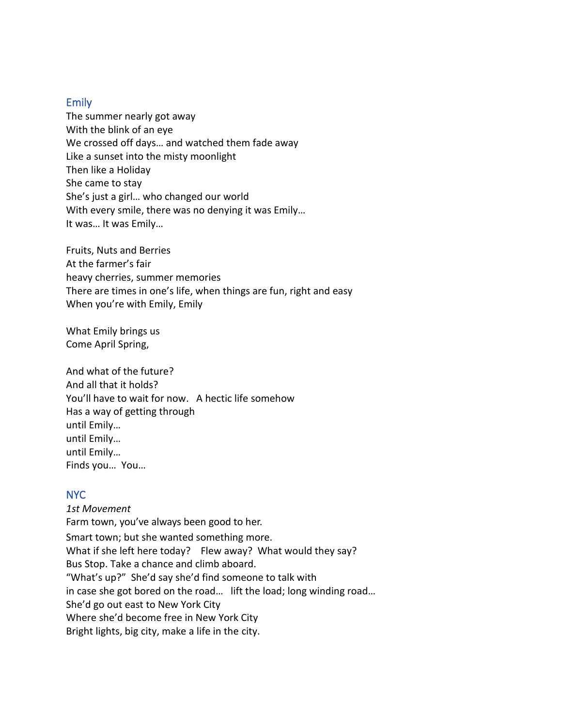#### Emily

The summer nearly got away With the blink of an eye We crossed off days… and watched them fade away Like a sunset into the misty moonlight Then like a Holiday She came to stay She's just a girl… who changed our world With every smile, there was no denying it was Emily… It was… It was Emily…

Fruits, Nuts and Berries At the farmer's fair heavy cherries, summer memories There are times in one's life, when things are fun, right and easy When you're with Emily, Emily

What Emily brings us Come April Spring,

And what of the future? And all that it holds? You'll have to wait for now. A hectic life somehow Has a way of getting through until Emily… until Emily… until Emily… Finds you… You…

# NYC

*1st Movement* Farm town, you've always been good to her. Smart town; but she wanted something more. What if she left here today? Flew away? What would they say? Bus Stop. Take a chance and climb aboard. "What's up?" She'd say she'd find someone to talk with in case she got bored on the road… lift the load; long winding road… She'd go out east to New York City Where she'd become free in New York City Bright lights, big city, make a life in the city.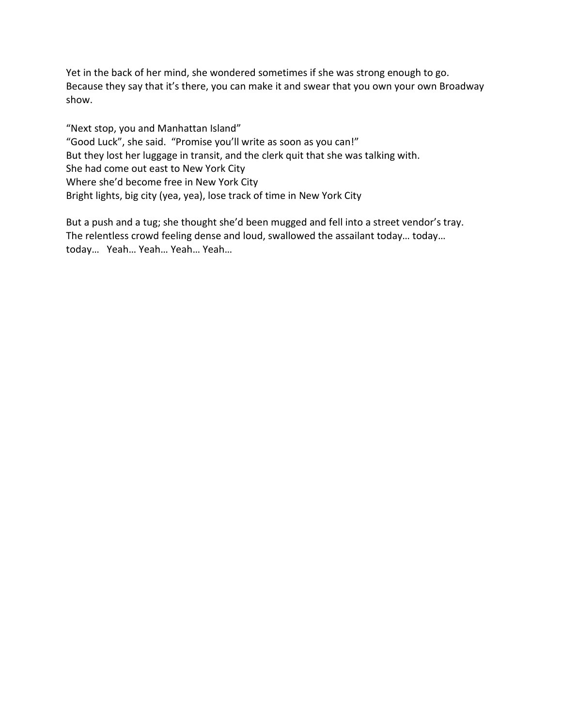Yet in the back of her mind, she wondered sometimes if she was strong enough to go. Because they say that it's there, you can make it and swear that you own your own Broadway show.

"Next stop, you and Manhattan Island" "Good Luck", she said. "Promise you'll write as soon as you can!" But they lost her luggage in transit, and the clerk quit that she was talking with. She had come out east to New York City Where she'd become free in New York City Bright lights, big city (yea, yea), lose track of time in New York City

But a push and a tug; she thought she'd been mugged and fell into a street vendor's tray. The relentless crowd feeling dense and loud, swallowed the assailant today… today… today… Yeah… Yeah… Yeah… Yeah…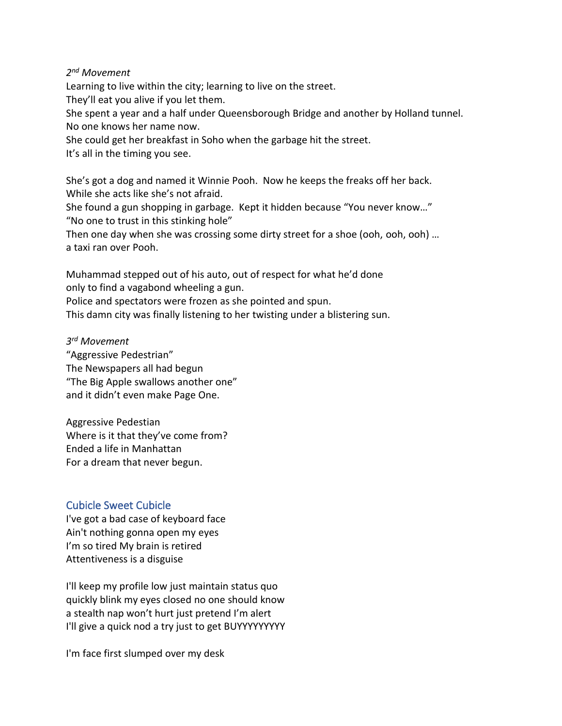## *2 nd Movement*

Learning to live within the city; learning to live on the street.

They'll eat you alive if you let them.

She spent a year and a half under Queensborough Bridge and another by Holland tunnel. No one knows her name now.

She could get her breakfast in Soho when the garbage hit the street.

It's all in the timing you see.

She's got a dog and named it Winnie Pooh. Now he keeps the freaks off her back. While she acts like she's not afraid.

She found a gun shopping in garbage. Kept it hidden because "You never know…" "No one to trust in this stinking hole"

Then one day when she was crossing some dirty street for a shoe (ooh, ooh, ooh) … a taxi ran over Pooh.

Muhammad stepped out of his auto, out of respect for what he'd done only to find a vagabond wheeling a gun.

Police and spectators were frozen as she pointed and spun.

This damn city was finally listening to her twisting under a blistering sun.

*3 rd Movement* "Aggressive Pedestrian" The Newspapers all had begun "The Big Apple swallows another one" and it didn't even make Page One.

Aggressive Pedestian Where is it that they've come from? Ended a life in Manhattan For a dream that never begun.

# Cubicle Sweet Cubicle

I've got a bad case of keyboard face Ain't nothing gonna open my eyes I'm so tired My brain is retired Attentiveness is a disguise

I'll keep my profile low just maintain status quo quickly blink my eyes closed no one should know a stealth nap won't hurt just pretend I'm alert I'll give a quick nod a try just to get BUYYYYYYYYY

I'm face first slumped over my desk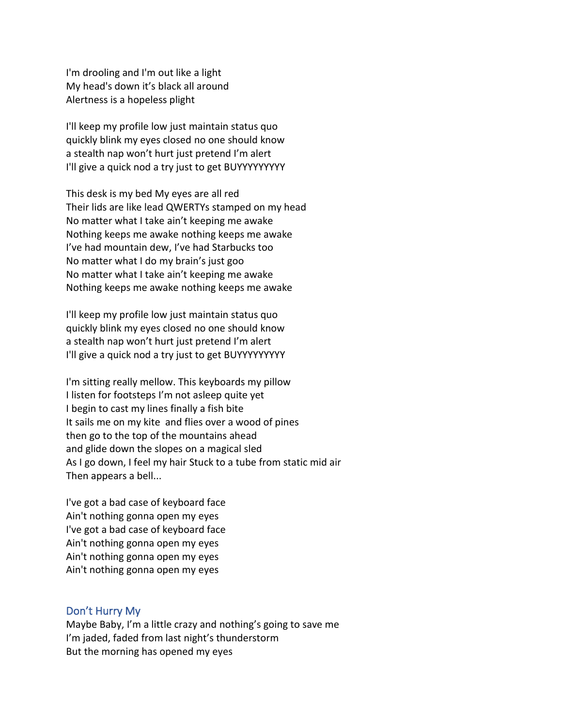I'm drooling and I'm out like a light My head's down it's black all around Alertness is a hopeless plight

I'll keep my profile low just maintain status quo quickly blink my eyes closed no one should know a stealth nap won't hurt just pretend I'm alert I'll give a quick nod a try just to get BUYYYYYYYYY

This desk is my bed My eyes are all red Their lids are like lead QWERTYs stamped on my head No matter what I take ain't keeping me awake Nothing keeps me awake nothing keeps me awake I've had mountain dew, I've had Starbucks too No matter what I do my brain's just goo No matter what I take ain't keeping me awake Nothing keeps me awake nothing keeps me awake

I'll keep my profile low just maintain status quo quickly blink my eyes closed no one should know a stealth nap won't hurt just pretend I'm alert I'll give a quick nod a try just to get BUYYYYYYYYY

I'm sitting really mellow. This keyboards my pillow I listen for footsteps I'm not asleep quite yet I begin to cast my lines finally a fish bite It sails me on my kite and flies over a wood of pines then go to the top of the mountains ahead and glide down the slopes on a magical sled As I go down, I feel my hair Stuck to a tube from static mid air Then appears a bell...

I've got a bad case of keyboard face Ain't nothing gonna open my eyes I've got a bad case of keyboard face Ain't nothing gonna open my eyes Ain't nothing gonna open my eyes Ain't nothing gonna open my eyes

#### Don't Hurry My

Maybe Baby, I'm a little crazy and nothing's going to save me I'm jaded, faded from last night's thunderstorm But the morning has opened my eyes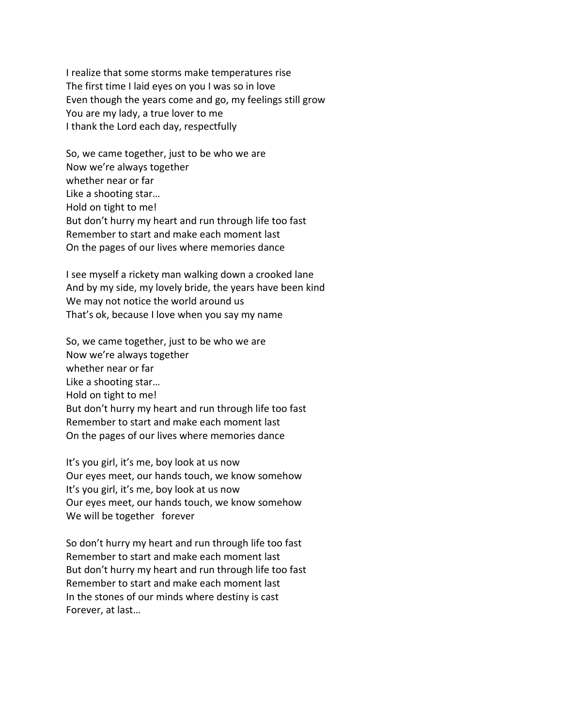I realize that some storms make temperatures rise The first time I laid eyes on you I was so in love Even though the years come and go, my feelings still grow You are my lady, a true lover to me I thank the Lord each day, respectfully

So, we came together, just to be who we are Now we're always together whether near or far Like a shooting star… Hold on tight to me! But don't hurry my heart and run through life too fast Remember to start and make each moment last On the pages of our lives where memories dance

I see myself a rickety man walking down a crooked lane And by my side, my lovely bride, the years have been kind We may not notice the world around us That's ok, because I love when you say my name

So, we came together, just to be who we are Now we're always together whether near or far Like a shooting star… Hold on tight to me! But don't hurry my heart and run through life too fast Remember to start and make each moment last On the pages of our lives where memories dance

It's you girl, it's me, boy look at us now Our eyes meet, our hands touch, we know somehow It's you girl, it's me, boy look at us now Our eyes meet, our hands touch, we know somehow We will be together forever

So don't hurry my heart and run through life too fast Remember to start and make each moment last But don't hurry my heart and run through life too fast Remember to start and make each moment last In the stones of our minds where destiny is cast Forever, at last…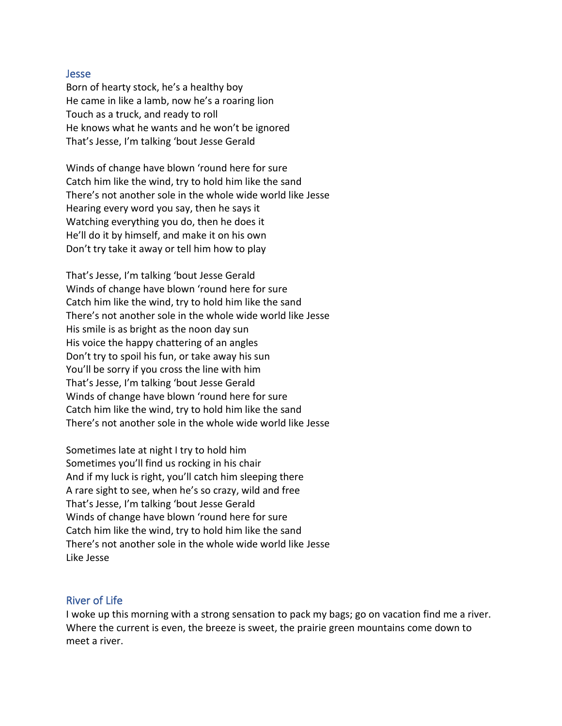#### Jesse

Born of hearty stock, he's a healthy boy He came in like a lamb, now he's a roaring lion Touch as a truck, and ready to roll He knows what he wants and he won't be ignored That's Jesse, I'm talking 'bout Jesse Gerald

Winds of change have blown 'round here for sure Catch him like the wind, try to hold him like the sand There's not another sole in the whole wide world like Jesse Hearing every word you say, then he says it Watching everything you do, then he does it He'll do it by himself, and make it on his own Don't try take it away or tell him how to play

That's Jesse, I'm talking 'bout Jesse Gerald Winds of change have blown 'round here for sure Catch him like the wind, try to hold him like the sand There's not another sole in the whole wide world like Jesse His smile is as bright as the noon day sun His voice the happy chattering of an angles Don't try to spoil his fun, or take away his sun You'll be sorry if you cross the line with him That's Jesse, I'm talking 'bout Jesse Gerald Winds of change have blown 'round here for sure Catch him like the wind, try to hold him like the sand There's not another sole in the whole wide world like Jesse

Sometimes late at night I try to hold him Sometimes you'll find us rocking in his chair And if my luck is right, you'll catch him sleeping there A rare sight to see, when he's so crazy, wild and free That's Jesse, I'm talking 'bout Jesse Gerald Winds of change have blown 'round here for sure Catch him like the wind, try to hold him like the sand There's not another sole in the whole wide world like Jesse Like Jesse

## River of Life

I woke up this morning with a strong sensation to pack my bags; go on vacation find me a river. Where the current is even, the breeze is sweet, the prairie green mountains come down to meet a river.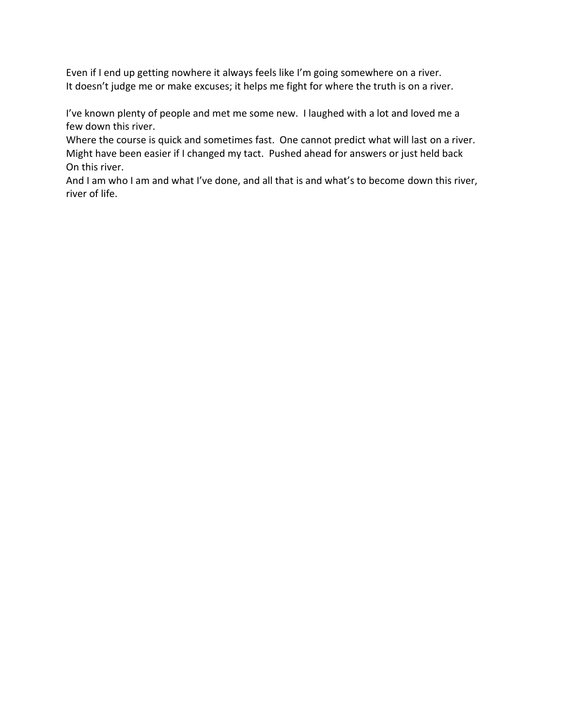Even if I end up getting nowhere it always feels like I'm going somewhere on a river. It doesn't judge me or make excuses; it helps me fight for where the truth is on a river.

I've known plenty of people and met me some new. I laughed with a lot and loved me a few down this river.

Where the course is quick and sometimes fast. One cannot predict what will last on a river. Might have been easier if I changed my tact. Pushed ahead for answers or just held back On this river.

And I am who I am and what I've done, and all that is and what's to become down this river, river of life.